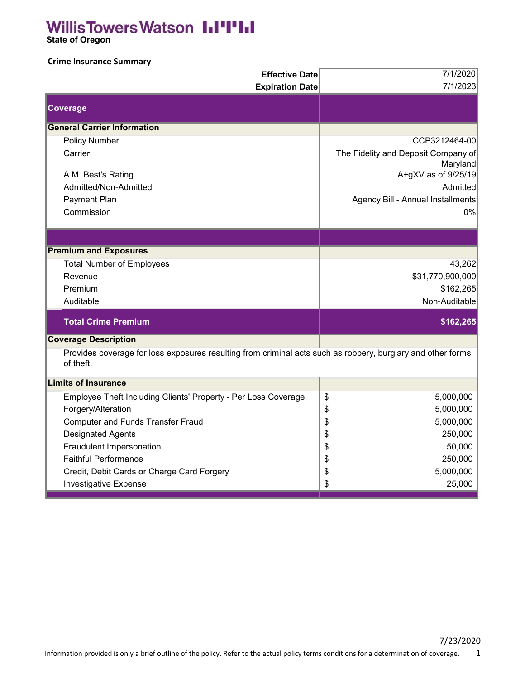## **Willis Towers Watson III'I'III**

 **State of Oregon**

## **Crime Insurance Summary**

| <b>Effective Date</b>                                                                                                    | 7/1/2020                            |
|--------------------------------------------------------------------------------------------------------------------------|-------------------------------------|
| <b>Expiration Date</b>                                                                                                   | 7/1/2023                            |
| Coverage                                                                                                                 |                                     |
| <b>General Carrier Information</b>                                                                                       |                                     |
| <b>Policy Number</b>                                                                                                     | CCP3212464-00                       |
| Carrier                                                                                                                  | The Fidelity and Deposit Company of |
|                                                                                                                          | Maryland                            |
| A.M. Best's Rating                                                                                                       | A+gXV as of 9/25/19                 |
| Admitted/Non-Admitted                                                                                                    | Admitted                            |
| Payment Plan                                                                                                             | Agency Bill - Annual Installments   |
| Commission                                                                                                               | 0%                                  |
|                                                                                                                          |                                     |
| <b>Premium and Exposures</b>                                                                                             |                                     |
| <b>Total Number of Employees</b>                                                                                         | 43,262                              |
| Revenue                                                                                                                  | \$31,770,900,000                    |
| Premium                                                                                                                  | \$162,265                           |
| Auditable                                                                                                                | Non-Auditable                       |
| <b>Total Crime Premium</b>                                                                                               | \$162,265                           |
| <b>Coverage Description</b>                                                                                              |                                     |
| Provides coverage for loss exposures resulting from criminal acts such as robbery, burglary and other forms<br>of theft. |                                     |
| <b>Limits of Insurance</b>                                                                                               |                                     |
| Employee Theft Including Clients' Property - Per Loss Coverage                                                           | \$<br>5,000,000                     |
| Forgery/Alteration                                                                                                       | 5,000,000<br>\$                     |
| <b>Computer and Funds Transfer Fraud</b>                                                                                 | \$<br>5,000,000                     |
| <b>Designated Agents</b>                                                                                                 | \$<br>250,000                       |
| Fraudulent Impersonation                                                                                                 | 50,000<br>\$                        |
| <b>Faithful Performance</b>                                                                                              | \$<br>250,000                       |
| Credit, Debit Cards or Charge Card Forgery                                                                               | 5,000,000<br>\$                     |
| Investigative Expense                                                                                                    | \$<br>25,000                        |
|                                                                                                                          |                                     |